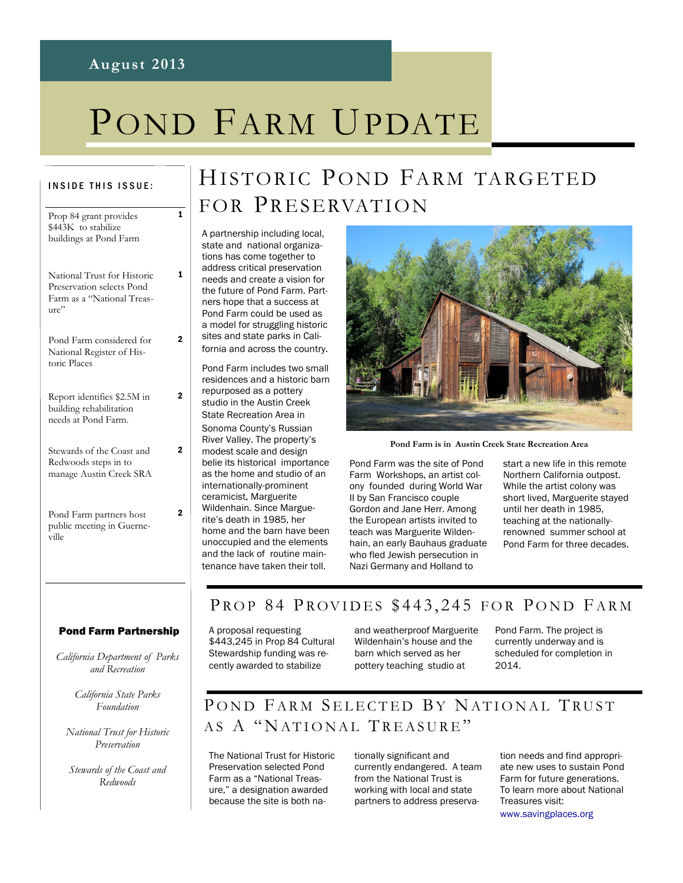#### **August 2013**

1

1

 $\overline{2}$ 

2

2

 $\overline{2}$ 

# POND FARM UPDATE

#### INSIDE THIS ISSUE:

| Prop 84 grant provides<br>\$443K to stabilize<br>buildings at Pond Farm                        |
|------------------------------------------------------------------------------------------------|
| National Trust for Historic<br>Preservation selects Pond<br>Farm as a "National Treas-<br>ure" |
| Pond Farm considered for<br>National Register of His-<br>toric Places                          |
| Report identifies \$2.5M in<br>building rehabilitation<br>needs at Pond Farm.                  |
| Stewards of the Coast and<br>Redwoods steps in to<br>manage Austin Creek SRA                   |
| Pond Farm partners host<br>public meeting in Guerne-<br>ville                                  |

## HISTORIC POND FARM TARGETED FOR PRESERVATION

A partnership including local, state and national organizations has come together to address critical preservation needs and create a vision for the future of Pond Farm. Partners hope that a success at Pond Farm could be used as a model for struggling historic sites and state parks in California and across the country. Pond Farm includes two small residences and a historic barn

repurposed as a pottery studio in the Austin Creek State Recreation Area in Sonoma County's Russian River Valley. The property's modest scale and design belie its historical importance as the home and studio of an internationally-prominent ceramicist, Marguerite Wildenhain. Since Marguerite's death in 1985, her home and the barn have been unoccupied and the elements and the lack of routine maintenance have taken their toll.



**Pond Farm is in Austin Creek State Recreation Area**

Pond Farm was the site of Pond Farm Workshops, an artist colony founded during World War II by San Francisco couple Gordon and Jane Herr. Among the European artists invited to teach was Marguerite Wildenhain, an early Bauhaus graduate who fled Jewish persecution in Nazi Germany and Holland to

start a new life in this remote Northern California outpost. While the artist colony was short lived, Marguerite stayed until her death in 1985, teaching at the nationallyrenowned summer school at Pond Farm for three decades.

#### Pond Farm Partnership

*California Department of Parks and Recreation*

> *California State Parks Foundation*

*National Trust for Historic Preservation*

*Stewards of the Coast and Redwoods*

#### PROP 84 PROVIDES \$443,245 FOR POND FARM

A proposal requesting \$443,245 in Prop 84 Cultural Stewardship funding was recently awarded to stabilize

and weatherproof Marguerite Wildenhain's house and the barn which served as her pottery teaching studio at

Pond Farm. The project is currently underway and is scheduled for completion in 2014.

## POND FARM SELECTED BY NATIONAL TRUST AS A "NATIONAL TREASURE"

The National Trust for Historic Preservation selected Pond Farm as a "National Treasure," a designation awarded because the site is both nationally significant and currently endangered. A team from the National Trust is working with local and state partners to address preservation needs and find appropriate new uses to sustain Pond Farm for future generations. To learn more about National Treasures visit: www.savingplaces.org